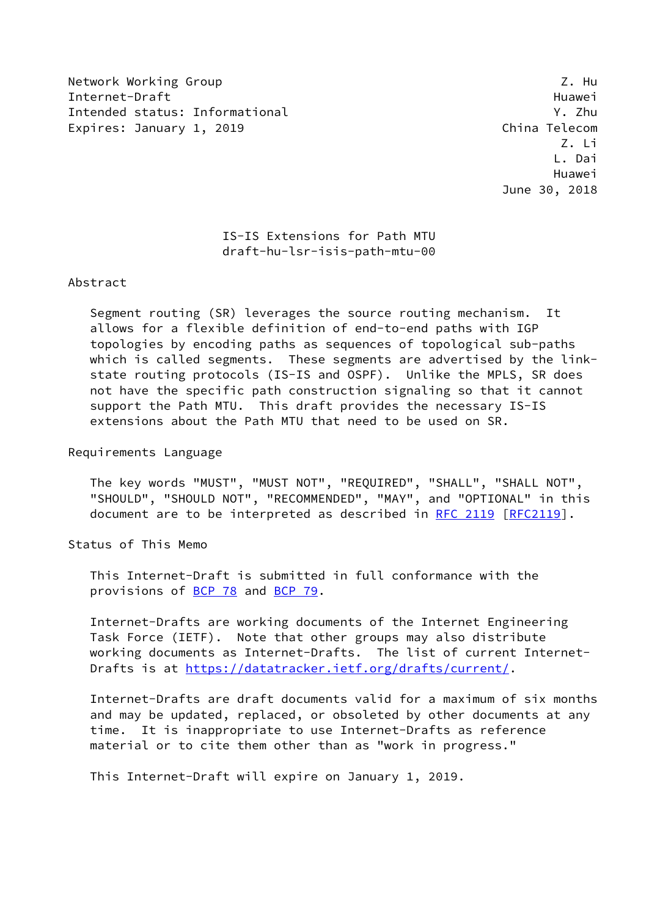Network Working Group 2. Hunder of the Second Library 2. Hunder of the Second Library 2. Hunder Internet-Draft Huawei Intended status: Informational Y. Zhu Expires: January 1, 2019 **China Telecom** 

 Z. Li L. Dai Huawei June 30, 2018

## IS-IS Extensions for Path MTU draft-hu-lsr-isis-path-mtu-00

#### Abstract

 Segment routing (SR) leverages the source routing mechanism. It allows for a flexible definition of end-to-end paths with IGP topologies by encoding paths as sequences of topological sub-paths which is called segments. These segments are advertised by the link state routing protocols (IS-IS and OSPF). Unlike the MPLS, SR does not have the specific path construction signaling so that it cannot support the Path MTU. This draft provides the necessary IS-IS extensions about the Path MTU that need to be used on SR.

Requirements Language

 The key words "MUST", "MUST NOT", "REQUIRED", "SHALL", "SHALL NOT", "SHOULD", "SHOULD NOT", "RECOMMENDED", "MAY", and "OPTIONAL" in this document are to be interpreted as described in [RFC 2119 \[RFC2119](https://datatracker.ietf.org/doc/pdf/rfc2119)].

Status of This Memo

 This Internet-Draft is submitted in full conformance with the provisions of [BCP 78](https://datatracker.ietf.org/doc/pdf/bcp78) and [BCP 79](https://datatracker.ietf.org/doc/pdf/bcp79).

 Internet-Drafts are working documents of the Internet Engineering Task Force (IETF). Note that other groups may also distribute working documents as Internet-Drafts. The list of current Internet Drafts is at<https://datatracker.ietf.org/drafts/current/>.

 Internet-Drafts are draft documents valid for a maximum of six months and may be updated, replaced, or obsoleted by other documents at any time. It is inappropriate to use Internet-Drafts as reference material or to cite them other than as "work in progress."

This Internet-Draft will expire on January 1, 2019.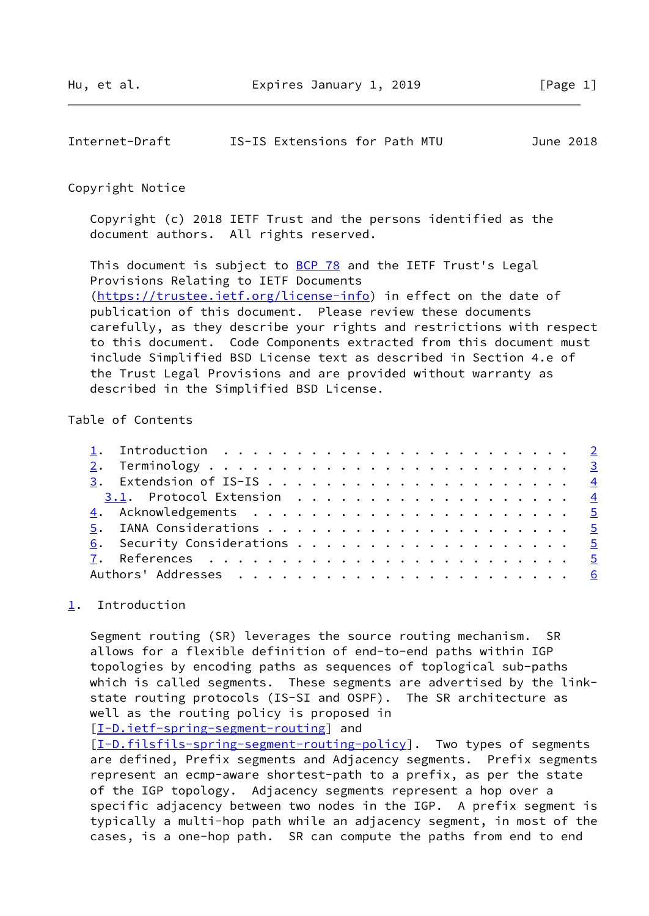<span id="page-1-1"></span>

| Internet-Draft | IS-IS Extensions for Path MTU |  |  |  | June 2018 |
|----------------|-------------------------------|--|--|--|-----------|
|----------------|-------------------------------|--|--|--|-----------|

#### Copyright Notice

 Copyright (c) 2018 IETF Trust and the persons identified as the document authors. All rights reserved.

This document is subject to **[BCP 78](https://datatracker.ietf.org/doc/pdf/bcp78)** and the IETF Trust's Legal Provisions Relating to IETF Documents [\(https://trustee.ietf.org/license-info](https://trustee.ietf.org/license-info)) in effect on the date of publication of this document. Please review these documents carefully, as they describe your rights and restrictions with respect to this document. Code Components extracted from this document must include Simplified BSD License text as described in Section 4.e of the Trust Legal Provisions and are provided without warranty as described in the Simplified BSD License.

## Table of Contents

### <span id="page-1-0"></span>[1](#page-1-0). Introduction

 Segment routing (SR) leverages the source routing mechanism. SR allows for a flexible definition of end-to-end paths within IGP topologies by encoding paths as sequences of toplogical sub-paths which is called segments. These segments are advertised by the link state routing protocols (IS-SI and OSPF). The SR architecture as well as the routing policy is proposed in

[\[I-D.ietf-spring-segment-routing](#page-5-1)] and

[\[I-D.filsfils-spring-segment-routing-policy\]](#page-4-5). Two types of segments are defined, Prefix segments and Adjacency segments. Prefix segments represent an ecmp-aware shortest-path to a prefix, as per the state of the IGP topology. Adjacency segments represent a hop over a specific adjacency between two nodes in the IGP. A prefix segment is typically a multi-hop path while an adjacency segment, in most of the cases, is a one-hop path. SR can compute the paths from end to end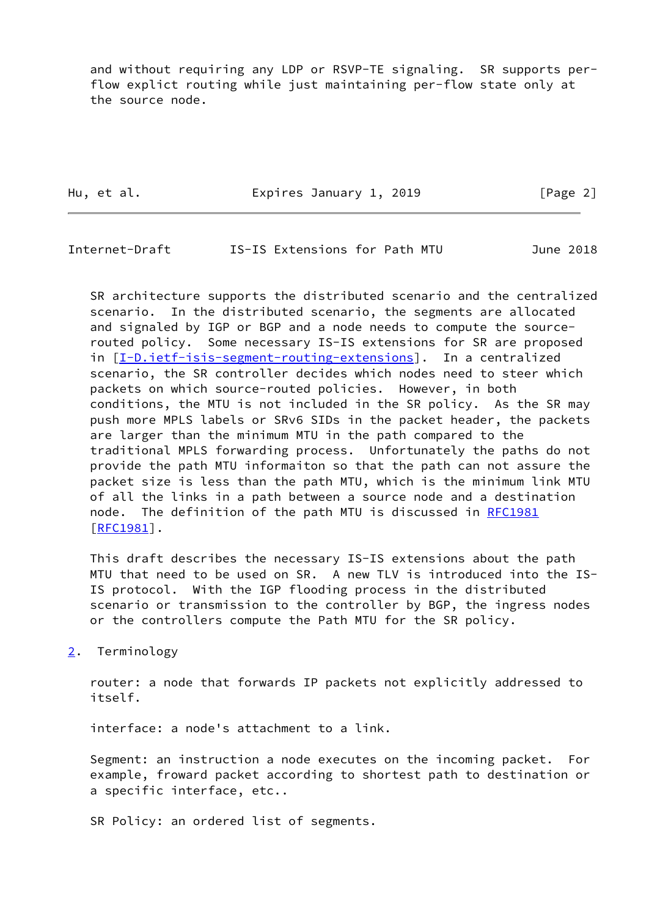and without requiring any LDP or RSVP-TE signaling. SR supports per flow explict routing while just maintaining per-flow state only at the source node.

Hu, et al. **Expires January 1, 2019** [Page 2]

<span id="page-2-1"></span>Internet-Draft IS-IS Extensions for Path MTU June 2018

 SR architecture supports the distributed scenario and the centralized scenario. In the distributed scenario, the segments are allocated and signaled by IGP or BGP and a node needs to compute the source routed policy. Some necessary IS-IS extensions for SR are proposed in [[I-D.ietf-isis-segment-routing-extensions\]](#page-5-2). In a centralized scenario, the SR controller decides which nodes need to steer which packets on which source-routed policies. However, in both conditions, the MTU is not included in the SR policy. As the SR may push more MPLS labels or SRv6 SIDs in the packet header, the packets are larger than the minimum MTU in the path compared to the traditional MPLS forwarding process. Unfortunately the paths do not provide the path MTU informaiton so that the path can not assure the packet size is less than the path MTU, which is the minimum link MTU of all the links in a path between a source node and a destination node. The definition of the path MTU is discussed in [RFC1981](https://datatracker.ietf.org/doc/pdf/rfc1981) [\[RFC1981](https://datatracker.ietf.org/doc/pdf/rfc1981)].

 This draft describes the necessary IS-IS extensions about the path MTU that need to be used on SR. A new TLV is introduced into the IS- IS protocol. With the IGP flooding process in the distributed scenario or transmission to the controller by BGP, the ingress nodes or the controllers compute the Path MTU for the SR policy.

<span id="page-2-0"></span>[2](#page-2-0). Terminology

 router: a node that forwards IP packets not explicitly addressed to itself.

interface: a node's attachment to a link.

 Segment: an instruction a node executes on the incoming packet. For example, froward packet according to shortest path to destination or a specific interface, etc..

SR Policy: an ordered list of segments.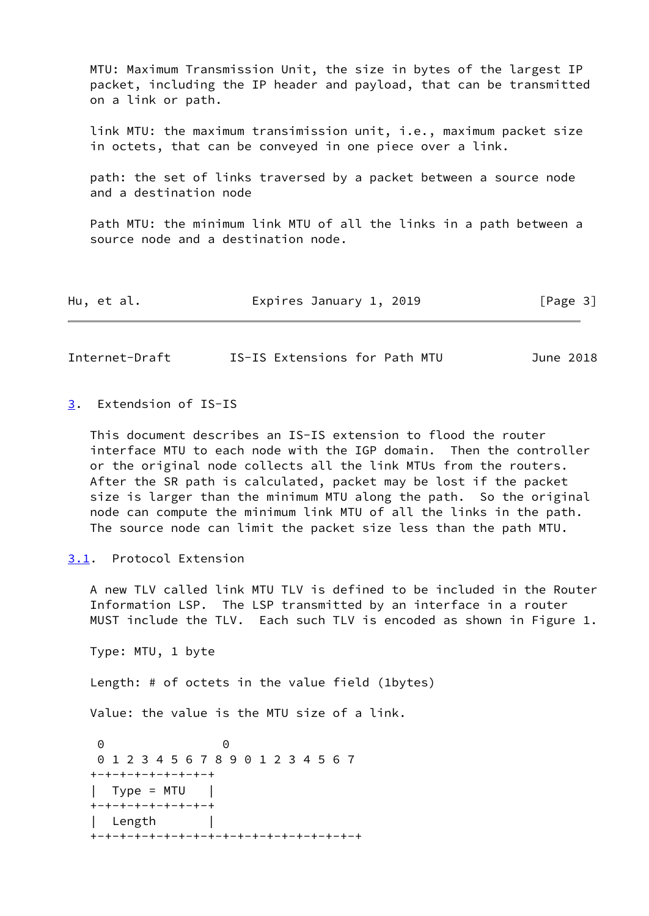MTU: Maximum Transmission Unit, the size in bytes of the largest IP packet, including the IP header and payload, that can be transmitted on a link or path.

 link MTU: the maximum transimission unit, i.e., maximum packet size in octets, that can be conveyed in one piece over a link.

 path: the set of links traversed by a packet between a source node and a destination node

 Path MTU: the minimum link MTU of all the links in a path between a source node and a destination node.

| Hu, et al. |  | Expires January 1, 2019 |  | [Page 3] |  |
|------------|--|-------------------------|--|----------|--|
|------------|--|-------------------------|--|----------|--|

<span id="page-3-1"></span>Internet-Draft IS-IS Extensions for Path MTU June 2018

<span id="page-3-0"></span>[3](#page-3-0). Extendsion of IS-IS

 This document describes an IS-IS extension to flood the router interface MTU to each node with the IGP domain. Then the controller or the original node collects all the link MTUs from the routers. After the SR path is calculated, packet may be lost if the packet size is larger than the minimum MTU along the path. So the original node can compute the minimum link MTU of all the links in the path. The source node can limit the packet size less than the path MTU.

<span id="page-3-2"></span>[3.1](#page-3-2). Protocol Extension

 A new TLV called link MTU TLV is defined to be included in the Router Information LSP. The LSP transmitted by an interface in a router MUST include the TLV. Each such TLV is encoded as shown in Figure 1.

Type: MTU, 1 byte

Length: # of octets in the value field (1bytes)

Value: the value is the MTU size of a link.

 0 0 0 1 2 3 4 5 6 7 8 9 0 1 2 3 4 5 6 7 +-+-+-+-+-+-+-+-+  $|$  Type = MTU  $|$  +-+-+-+-+-+-+-+-+ Length +-+-+-+-+-+-+-+-+-+-+-+-+-+-+-+-+-+-+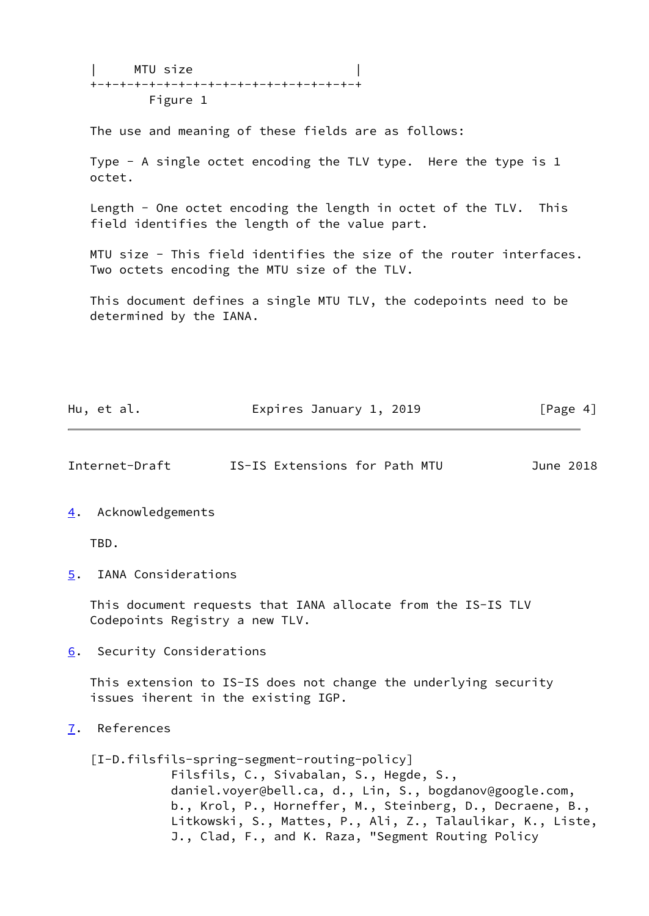| MTU size | +-+-+-+-+-+-+-+-+-+-+-+-+-+-+-+-+-+-+ Figure 1

The use and meaning of these fields are as follows:

 Type - A single octet encoding the TLV type. Here the type is 1 octet.

 Length - One octet encoding the length in octet of the TLV. This field identifies the length of the value part.

 MTU size - This field identifies the size of the router interfaces. Two octets encoding the MTU size of the TLV.

 This document defines a single MTU TLV, the codepoints need to be determined by the IANA.

| Hu, et al. | Expires January 1, 2019 | [Page 4] |
|------------|-------------------------|----------|
|            |                         |          |

<span id="page-4-1"></span>Internet-Draft IS-IS Extensions for Path MTU June 2018

#### <span id="page-4-0"></span>[4](#page-4-0). Acknowledgements

TBD.

<span id="page-4-2"></span>[5](#page-4-2). IANA Considerations

 This document requests that IANA allocate from the IS-IS TLV Codepoints Registry a new TLV.

<span id="page-4-3"></span>[6](#page-4-3). Security Considerations

 This extension to IS-IS does not change the underlying security issues iherent in the existing IGP.

<span id="page-4-4"></span>[7](#page-4-4). References

<span id="page-4-5"></span> [I-D.filsfils-spring-segment-routing-policy] Filsfils, C., Sivabalan, S., Hegde, S., daniel.voyer@bell.ca, d., Lin, S., bogdanov@google.com, b., Krol, P., Horneffer, M., Steinberg, D., Decraene, B., Litkowski, S., Mattes, P., Ali, Z., Talaulikar, K., Liste, J., Clad, F., and K. Raza, "Segment Routing Policy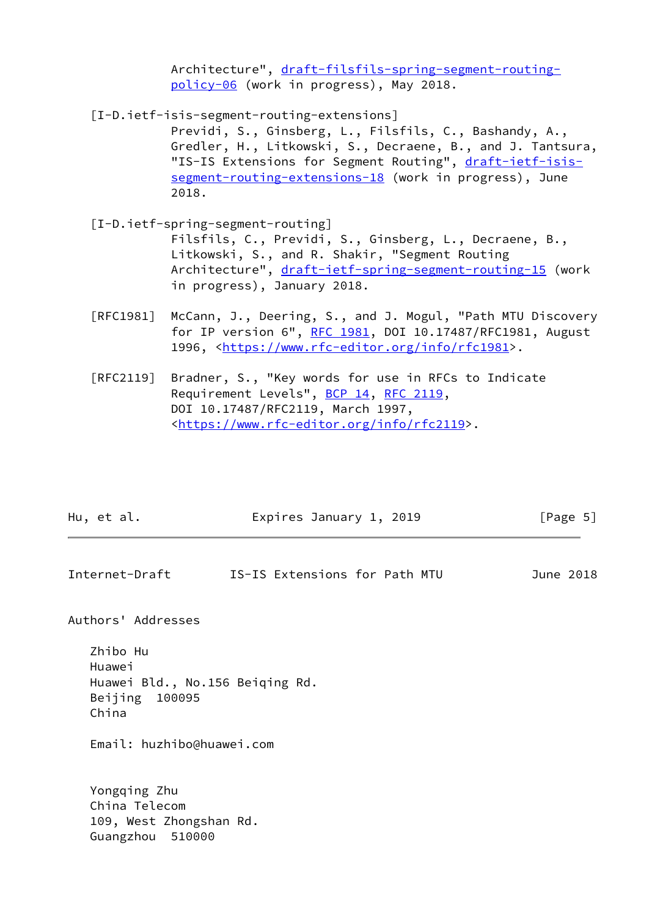Architecture", [draft-filsfils-spring-segment-routing](https://datatracker.ietf.org/doc/pdf/draft-filsfils-spring-segment-routing-policy-06) [policy-06](https://datatracker.ietf.org/doc/pdf/draft-filsfils-spring-segment-routing-policy-06) (work in progress), May 2018.

<span id="page-5-2"></span>[I-D.ietf-isis-segment-routing-extensions]

 Previdi, S., Ginsberg, L., Filsfils, C., Bashandy, A., Gredler, H., Litkowski, S., Decraene, B., and J. Tantsura, "IS-IS Extensions for Segment Routing", [draft-ietf-isis](https://datatracker.ietf.org/doc/pdf/draft-ietf-isis-segment-routing-extensions-18) [segment-routing-extensions-18](https://datatracker.ietf.org/doc/pdf/draft-ietf-isis-segment-routing-extensions-18) (work in progress), June 2018.

- <span id="page-5-1"></span> [I-D.ietf-spring-segment-routing] Filsfils, C., Previdi, S., Ginsberg, L., Decraene, B., Litkowski, S., and R. Shakir, "Segment Routing Architecture", [draft-ietf-spring-segment-routing-15](https://datatracker.ietf.org/doc/pdf/draft-ietf-spring-segment-routing-15) (work in progress), January 2018.
- [RFC1981] McCann, J., Deering, S., and J. Mogul, "Path MTU Discovery for IP version 6", [RFC 1981](https://datatracker.ietf.org/doc/pdf/rfc1981), DOI 10.17487/RFC1981, August 1996, [<https://www.rfc-editor.org/info/rfc1981](https://www.rfc-editor.org/info/rfc1981)>.
- [RFC2119] Bradner, S., "Key words for use in RFCs to Indicate Requirement Levels", [BCP 14](https://datatracker.ietf.org/doc/pdf/bcp14), [RFC 2119](https://datatracker.ietf.org/doc/pdf/rfc2119), DOI 10.17487/RFC2119, March 1997, <[https://www.rfc-editor.org/info/rfc2119>](https://www.rfc-editor.org/info/rfc2119).

| Expires January 1, 2019<br>[Page 5]<br>Hu, et al. |  |
|---------------------------------------------------|--|
|---------------------------------------------------|--|

<span id="page-5-0"></span>Internet-Draft IS-IS Extensions for Path MTU June 2018

Authors' Addresses

 Zhibo Hu Huawei Huawei Bld., No.156 Beiqing Rd. Beijing 100095 China

Email: huzhibo@huawei.com

 Yongqing Zhu China Telecom 109, West Zhongshan Rd. Guangzhou 510000